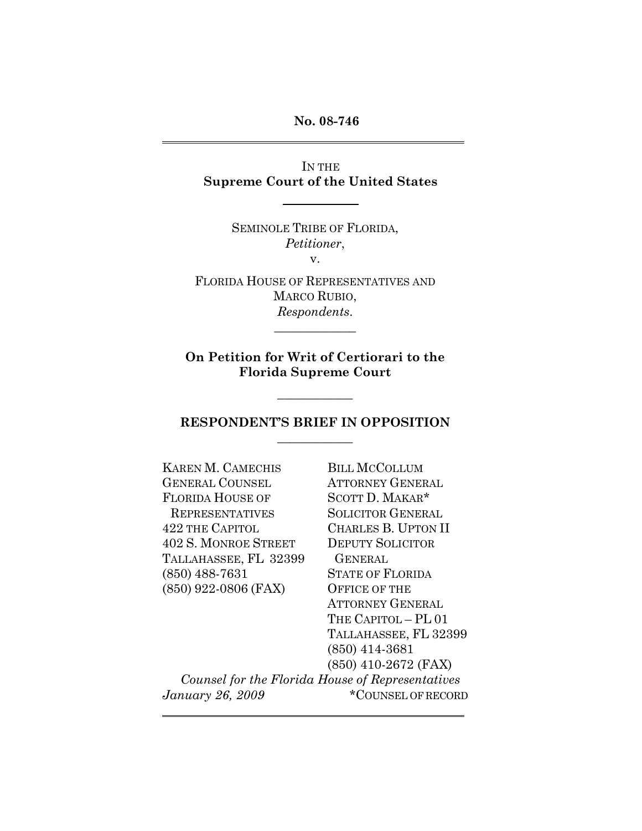**No. 08-746**

IN THE **Supreme Court of the United States**

> SEMINOLE TRIBE OF FLORIDA, *Petitioner*, v.

FLORIDA HOUSE OF REPRESENTATIVES AND MARCO RUBIO, *Respondents*.

 $\overline{\phantom{a}}$ 

**On Petition for Writ of Certiorari to the Florida Supreme Court**

 $\overline{\phantom{a}}$ 

### **RESPONDENT'S BRIEF IN OPPOSITION**  $\overline{\phantom{a}}$

| <b>KAREN M. CAMECHIS</b>                         | <b>BILL MCCOLLUM</b>     |
|--------------------------------------------------|--------------------------|
| <b>GENERAL COUNSEL</b>                           | <b>ATTORNEY GENERAL</b>  |
| <b>FLORIDA HOUSE OF</b>                          | SCOTT D. MAKAR*          |
| <b>REPRESENTATIVES</b>                           | <b>SOLICITOR GENERAL</b> |
| <b>422 THE CAPITOL</b>                           | CHARLES B. UPTON II      |
| <b>402 S. MONROE STREET</b>                      | <b>DEPUTY SOLICITOR</b>  |
| TALLAHASSEE, FL 32399                            | <b>GENERAL</b>           |
| $(850)$ 488-7631                                 | <b>STATE OF FLORIDA</b>  |
| $(850)$ 922-0806 (FAX)                           | <b>OFFICE OF THE</b>     |
|                                                  | <b>ATTORNEY GENERAL</b>  |
|                                                  | THE CAPITOL - PL 01      |
|                                                  | TALLAHASSEE, FL 32399    |
|                                                  | $(850)$ 414-3681         |
|                                                  | $(850)$ 410-2672 (FAX)   |
| Counsel for the Florida House of Representatives |                          |
| January 26, 2009                                 | *COUNSEL OF RECORD       |
|                                                  |                          |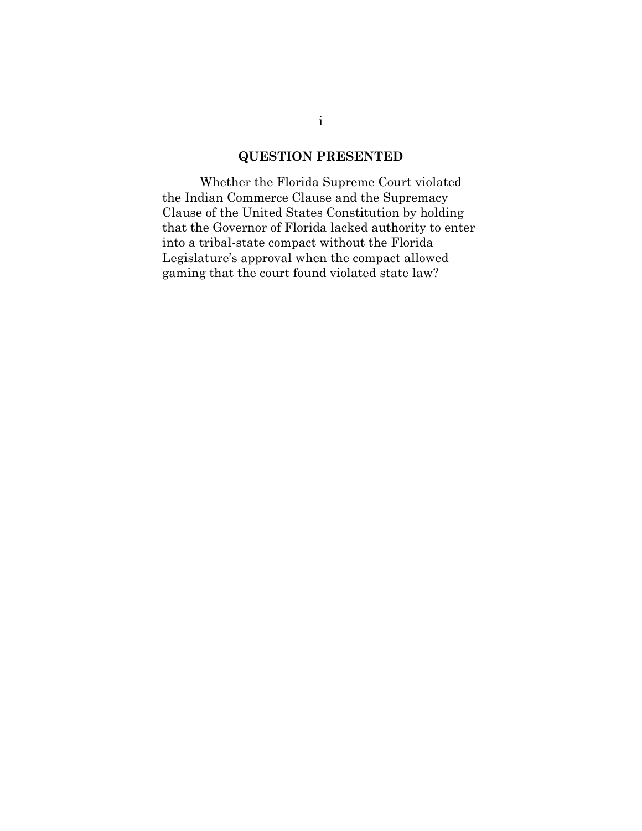### **QUESTION PRESENTED**

Whether the Florida Supreme Court violated the Indian Commerce Clause and the Supremacy Clause of the United States Constitution by holding that the Governor of Florida lacked authority to enter into a tribal-state compact without the Florida Legislature's approval when the compact allowed gaming that the court found violated state law?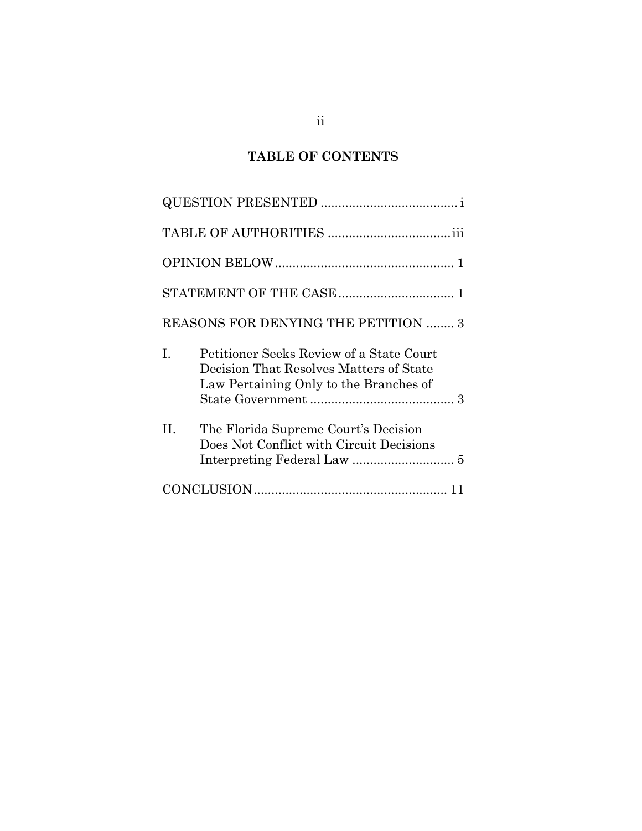# **TABLE OF CONTENTS**

|    | REASONS FOR DENYING THE PETITION  3                                                                                           |
|----|-------------------------------------------------------------------------------------------------------------------------------|
| L  | Petitioner Seeks Review of a State Court<br>Decision That Resolves Matters of State<br>Law Pertaining Only to the Branches of |
| H. | The Florida Supreme Court's Decision<br>Does Not Conflict with Circuit Decisions                                              |
|    |                                                                                                                               |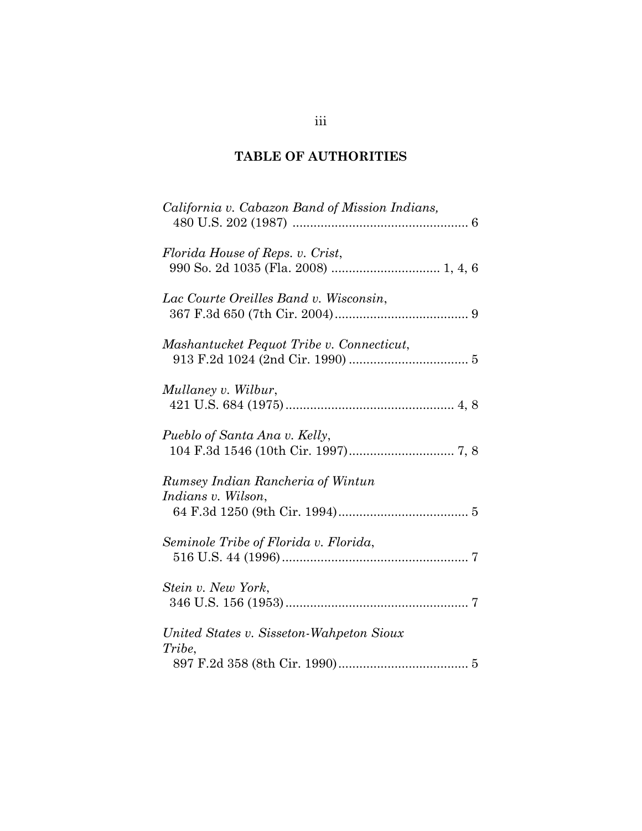## **TABLE OF AUTHORITIES**

| California v. Cabazon Band of Mission Indians,          |
|---------------------------------------------------------|
| Florida House of Reps. v. Crist,                        |
| Lac Courte Oreilles Band v. Wisconsin,                  |
| Mashantucket Pequot Tribe v. Connecticut,               |
| Mullaney v. Wilbur,                                     |
| Pueblo of Santa Ana v. Kelly,                           |
| Rumsey Indian Rancheria of Wintun<br>Indians v. Wilson, |
| Seminole Tribe of Florida v. Florida,                   |
| Stein v. New York,                                      |
| United States v. Sisseton-Wahpeton Sioux<br>Tribe,      |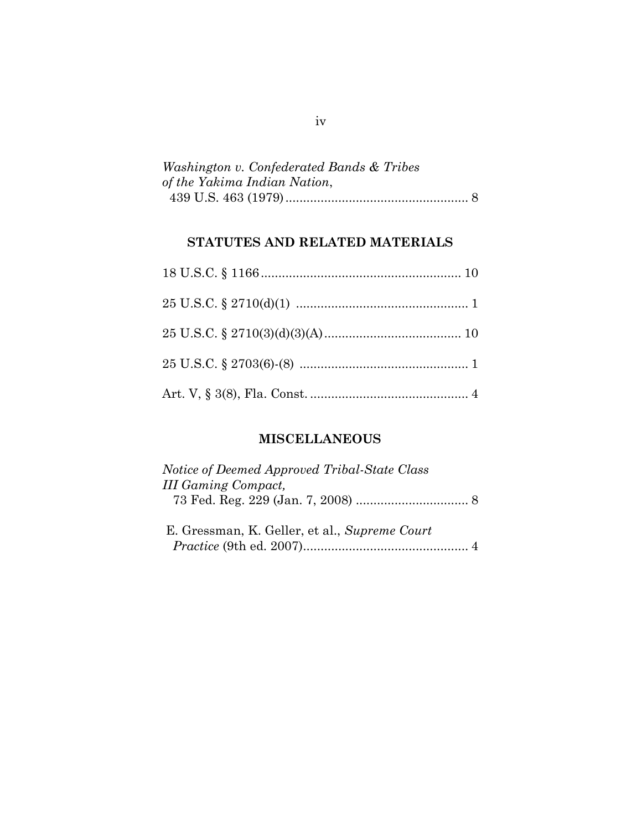| Washington v. Confederated Bands & Tribes |  |
|-------------------------------------------|--|
| of the Yakima Indian Nation,              |  |
|                                           |  |

## **STATUTES AND RELATED MATERIALS**

## **MISCELLANEOUS**

| Notice of Deemed Approved Tribal-State Class  |  |
|-----------------------------------------------|--|
| <b>III Gaming Compact,</b>                    |  |
|                                               |  |
|                                               |  |
| E. Gressman, K. Geller, et al., Supreme Court |  |
|                                               |  |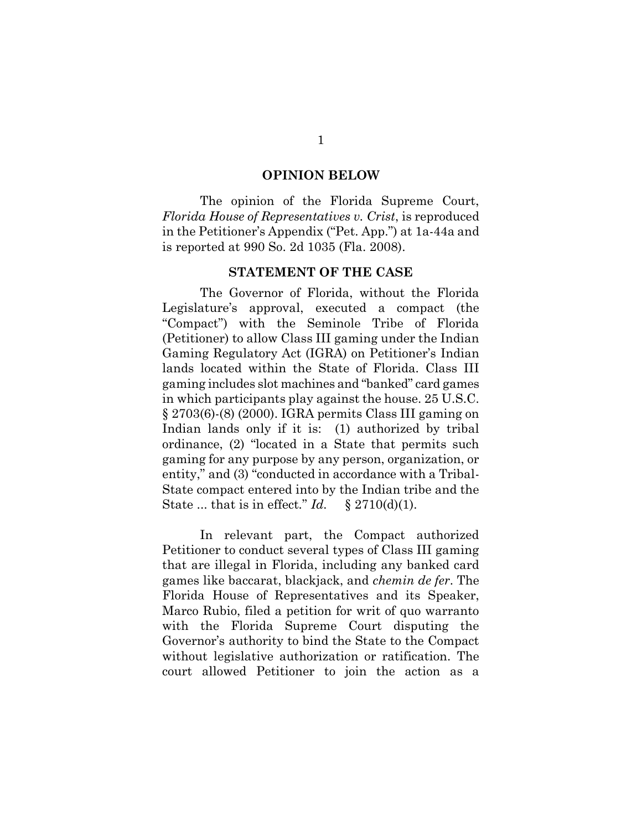#### **OPINION BELOW**

The opinion of the Florida Supreme Court, *Florida House of Representatives v. Crist*, is reproduced in the Petitioner"s Appendix ("Pet. App.") at 1a-44a and is reported at 990 So. 2d 1035 (Fla. 2008).

#### **STATEMENT OF THE CASE**

The Governor of Florida, without the Florida Legislature"s approval, executed a compact (the "Compact") with the Seminole Tribe of Florida (Petitioner) to allow Class III gaming under the Indian Gaming Regulatory Act (IGRA) on Petitioner"s Indian lands located within the State of Florida. Class III gaming includes slot machines and "banked" card games in which participants play against the house. 25 U.S.C. § 2703(6)-(8) (2000). IGRA permits Class III gaming on Indian lands only if it is: (1) authorized by tribal ordinance, (2) "located in a State that permits such gaming for any purpose by any person, organization, or entity," and (3) "conducted in accordance with a Tribal-State compact entered into by the Indian tribe and the State ... that is in effect."  $Id. \S$  2710(d)(1).

In relevant part, the Compact authorized Petitioner to conduct several types of Class III gaming that are illegal in Florida, including any banked card games like baccarat, blackjack, and *chemin de fer*. The Florida House of Representatives and its Speaker, Marco Rubio, filed a petition for writ of quo warranto with the Florida Supreme Court disputing the Governor"s authority to bind the State to the Compact without legislative authorization or ratification. The court allowed Petitioner to join the action as a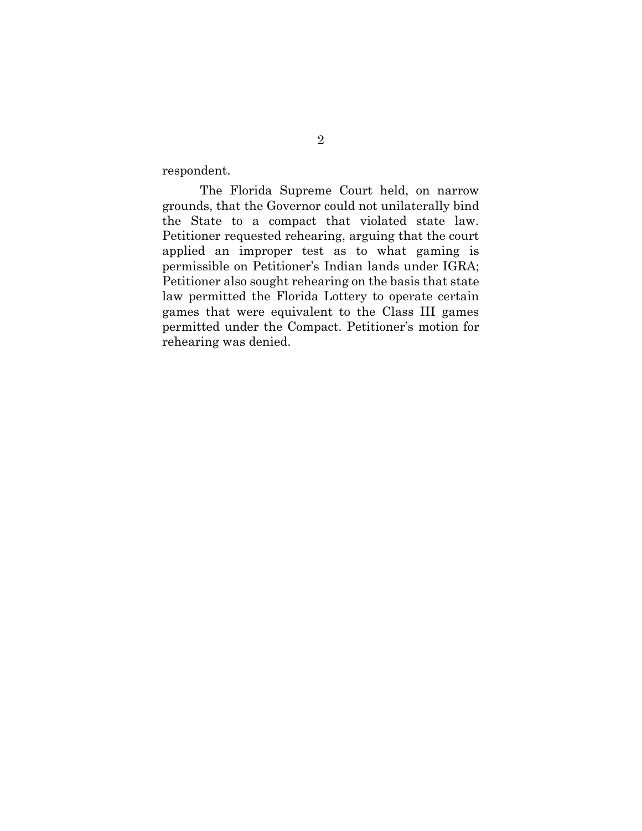respondent.

The Florida Supreme Court held, on narrow grounds, that the Governor could not unilaterally bind the State to a compact that violated state law. Petitioner requested rehearing, arguing that the court applied an improper test as to what gaming is permissible on Petitioner"s Indian lands under IGRA; Petitioner also sought rehearing on the basis that state law permitted the Florida Lottery to operate certain games that were equivalent to the Class III games permitted under the Compact. Petitioner"s motion for rehearing was denied.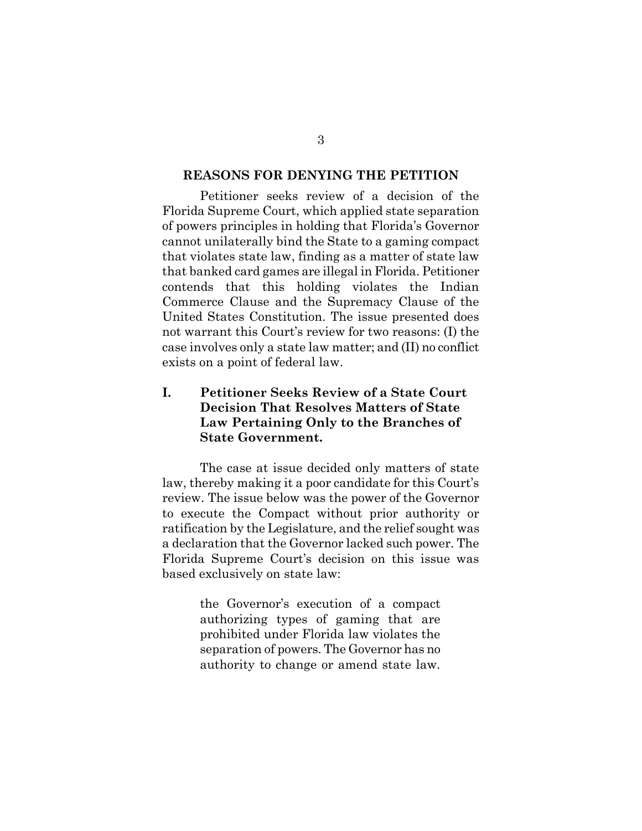#### **REASONS FOR DENYING THE PETITION**

Petitioner seeks review of a decision of the Florida Supreme Court, which applied state separation of powers principles in holding that Florida"s Governor cannot unilaterally bind the State to a gaming compact that violates state law, finding as a matter of state law that banked card games are illegal in Florida. Petitioner contends that this holding violates the Indian Commerce Clause and the Supremacy Clause of the United States Constitution. The issue presented does not warrant this Court's review for two reasons: (I) the case involves only a state law matter; and (II) no conflict exists on a point of federal law.

### **I. Petitioner Seeks Review of a State Court Decision That Resolves Matters of State Law Pertaining Only to the Branches of State Government.**

The case at issue decided only matters of state law, thereby making it a poor candidate for this Court's review. The issue below was the power of the Governor to execute the Compact without prior authority or ratification by the Legislature, and the relief sought was a declaration that the Governor lacked such power. The Florida Supreme Court"s decision on this issue was based exclusively on state law:

> the Governor's execution of a compact authorizing types of gaming that are prohibited under Florida law violates the separation of powers. The Governor has no authority to change or amend state law.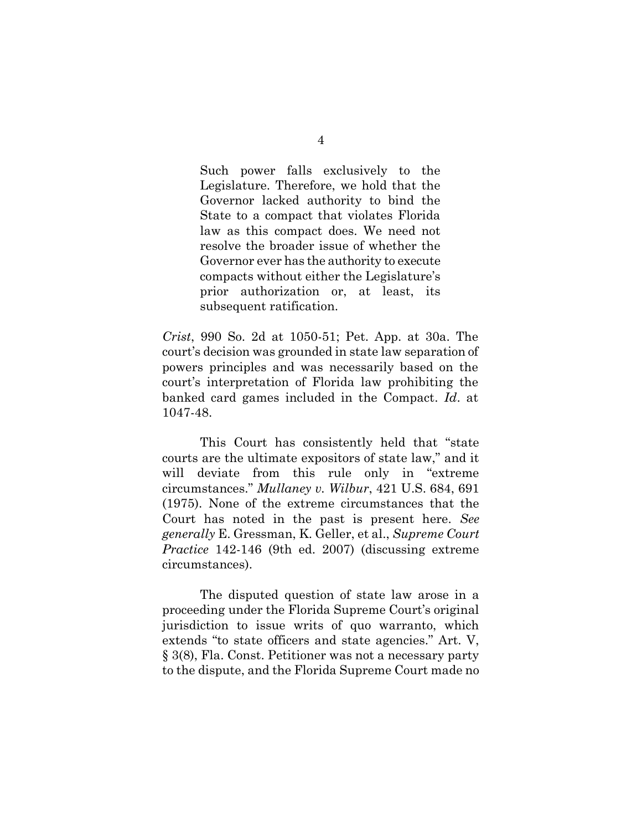Such power falls exclusively to the Legislature. Therefore, we hold that the Governor lacked authority to bind the State to a compact that violates Florida law as this compact does. We need not resolve the broader issue of whether the Governor ever has the authority to execute compacts without either the Legislature's prior authorization or, at least, its subsequent ratification.

*Crist*, 990 So. 2d at 1050-51; Pet. App. at 30a. The court"s decision was grounded in state law separation of powers principles and was necessarily based on the court"s interpretation of Florida law prohibiting the banked card games included in the Compact. *Id*. at 1047-48.

This Court has consistently held that "state courts are the ultimate expositors of state law," and it will deviate from this rule only in "extreme circumstances." *Mullaney v. Wilbur*, 421 U.S. 684, 691 (1975). None of the extreme circumstances that the Court has noted in the past is present here. *See generally* E. Gressman, K. Geller, et al., *Supreme Court Practice* 142-146 (9th ed. 2007) (discussing extreme circumstances).

The disputed question of state law arose in a proceeding under the Florida Supreme Court"s original jurisdiction to issue writs of quo warranto, which extends "to state officers and state agencies." Art. V, § 3(8), Fla. Const. Petitioner was not a necessary party to the dispute, and the Florida Supreme Court made no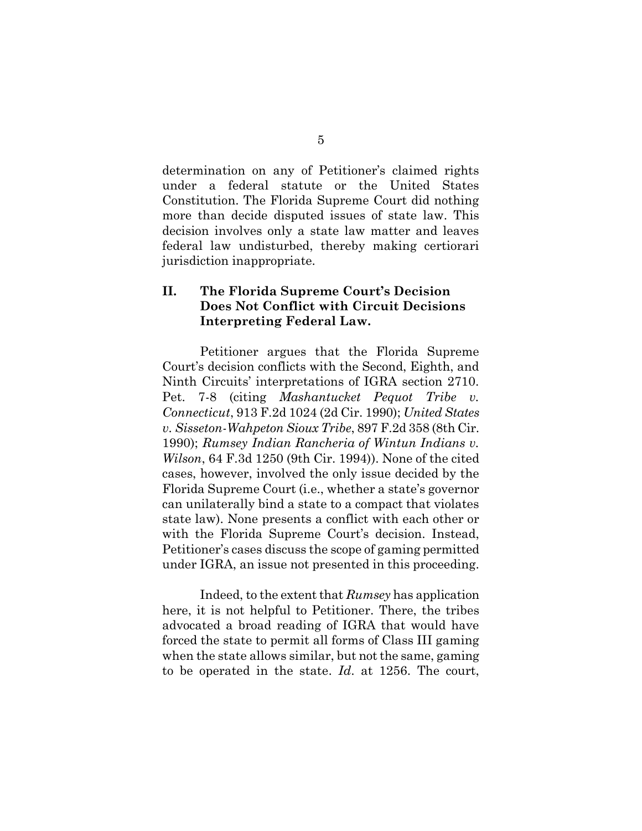determination on any of Petitioner's claimed rights under a federal statute or the United States Constitution. The Florida Supreme Court did nothing more than decide disputed issues of state law. This decision involves only a state law matter and leaves federal law undisturbed, thereby making certiorari jurisdiction inappropriate.

### **II. The Florida Supreme Court's Decision Does Not Conflict with Circuit Decisions Interpreting Federal Law.**

Petitioner argues that the Florida Supreme Court"s decision conflicts with the Second, Eighth, and Ninth Circuits" interpretations of IGRA section 2710. Pet. 7-8 (citing *Mashantucket Pequot Tribe v. Connecticut*, 913 F.2d 1024 (2d Cir. 1990); *United States v. Sisseton-Wahpeton Sioux Tribe*, 897 F.2d 358 (8th Cir. 1990); *Rumsey Indian Rancheria of Wintun Indians v. Wilson*, 64 F.3d 1250 (9th Cir. 1994)). None of the cited cases, however, involved the only issue decided by the Florida Supreme Court (i.e., whether a state's governor can unilaterally bind a state to a compact that violates state law). None presents a conflict with each other or with the Florida Supreme Court's decision. Instead, Petitioner"s cases discuss the scope of gaming permitted under IGRA, an issue not presented in this proceeding.

Indeed, to the extent that *Rumsey* has application here, it is not helpful to Petitioner. There, the tribes advocated a broad reading of IGRA that would have forced the state to permit all forms of Class III gaming when the state allows similar, but not the same, gaming to be operated in the state. *Id*. at 1256. The court,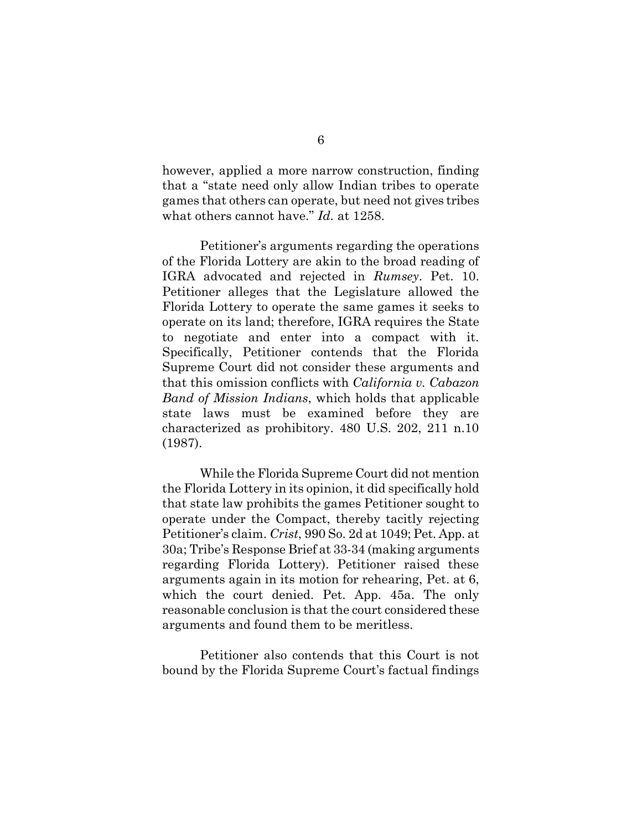however, applied a more narrow construction, finding that a "state need only allow Indian tribes to operate games that others can operate, but need not gives tribes what others cannot have." *Id.* at 1258.

Petitioner"s arguments regarding the operations of the Florida Lottery are akin to the broad reading of IGRA advocated and rejected in *Rumsey*. Pet. 10. Petitioner alleges that the Legislature allowed the Florida Lottery to operate the same games it seeks to operate on its land; therefore, IGRA requires the State to negotiate and enter into a compact with it. Specifically, Petitioner contends that the Florida Supreme Court did not consider these arguments and that this omission conflicts with *California v. Cabazon Band of Mission Indians*, which holds that applicable state laws must be examined before they are characterized as prohibitory. 480 U.S. 202, 211 n.10 (1987).

While the Florida Supreme Court did not mention the Florida Lottery in its opinion, it did specifically hold that state law prohibits the games Petitioner sought to operate under the Compact, thereby tacitly rejecting Petitioner"s claim. *Crist*, 990 So. 2d at 1049; Pet. App. at 30a; Tribe"s Response Brief at 33-34 (making arguments regarding Florida Lottery). Petitioner raised these arguments again in its motion for rehearing, Pet. at 6, which the court denied. Pet. App. 45a. The only reasonable conclusion is that the court considered these arguments and found them to be meritless.

Petitioner also contends that this Court is not bound by the Florida Supreme Court's factual findings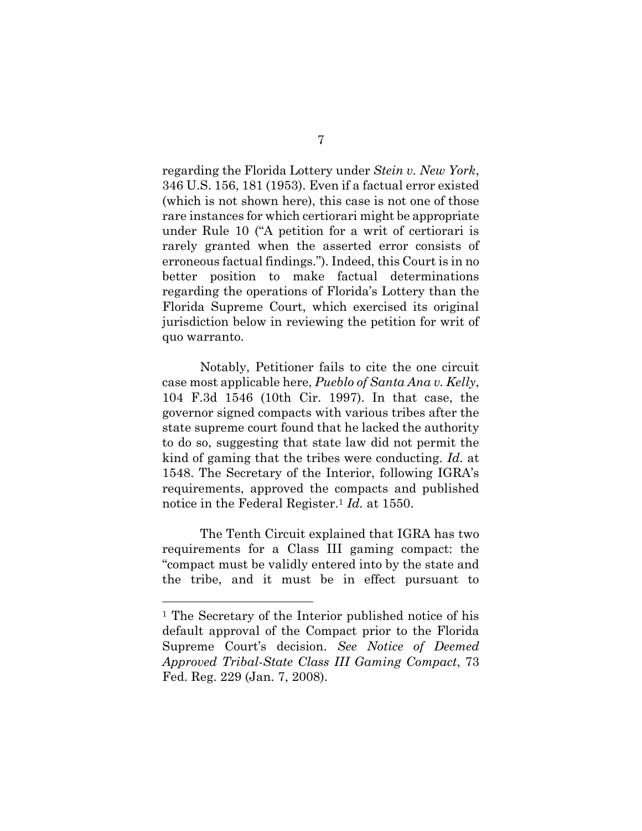regarding the Florida Lottery under *Stein v. New York*, 346 U.S. 156, 181 (1953). Even if a factual error existed (which is not shown here), this case is not one of those rare instances for which certiorari might be appropriate under Rule 10 ("A petition for a writ of certiorari is rarely granted when the asserted error consists of erroneous factual findings."). Indeed, this Court is in no better position to make factual determinations regarding the operations of Florida"s Lottery than the Florida Supreme Court, which exercised its original jurisdiction below in reviewing the petition for writ of quo warranto.

Notably, Petitioner fails to cite the one circuit case most applicable here, *Pueblo of Santa Ana v. Kelly*, 104 F.3d 1546 (10th Cir. 1997). In that case, the governor signed compacts with various tribes after the state supreme court found that he lacked the authority to do so, suggesting that state law did not permit the kind of gaming that the tribes were conducting. *Id.* at 1548. The Secretary of the Interior, following IGRA"s requirements, approved the compacts and published notice in the Federal Register.<sup>1</sup> *Id.* at 1550.

The Tenth Circuit explained that IGRA has two requirements for a Class III gaming compact: the "compact must be validly entered into by the state and the tribe, and it must be in effect pursuant to

 $\overline{a}$ 

<sup>1</sup> The Secretary of the Interior published notice of his default approval of the Compact prior to the Florida Supreme Court"s decision. *See Notice of Deemed Approved Tribal-State Class III Gaming Compact*, 73 Fed. Reg. 229 (Jan. 7, 2008).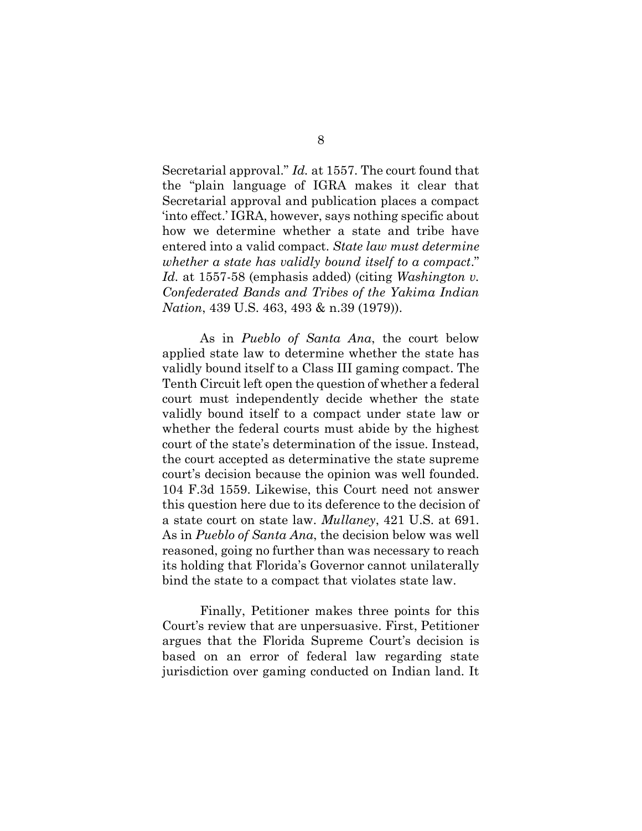Secretarial approval." *Id.* at 1557. The court found that the "plain language of IGRA makes it clear that Secretarial approval and publication places a compact "into effect." IGRA, however, says nothing specific about how we determine whether a state and tribe have entered into a valid compact. *State law must determine whether a state has validly bound itself to a compact*." *Id.* at 1557-58 (emphasis added) (citing *Washington v. Confederated Bands and Tribes of the Yakima Indian Nation*, 439 U.S. 463, 493 & n.39 (1979)).

As in *Pueblo of Santa Ana*, the court below applied state law to determine whether the state has validly bound itself to a Class III gaming compact. The Tenth Circuit left open the question of whether a federal court must independently decide whether the state validly bound itself to a compact under state law or whether the federal courts must abide by the highest court of the state's determination of the issue. Instead, the court accepted as determinative the state supreme court"s decision because the opinion was well founded. 104 F.3d 1559. Likewise, this Court need not answer this question here due to its deference to the decision of a state court on state law. *Mullaney*, 421 U.S. at 691. As in *Pueblo of Santa Ana*, the decision below was well reasoned, going no further than was necessary to reach its holding that Florida"s Governor cannot unilaterally bind the state to a compact that violates state law.

Finally, Petitioner makes three points for this Court"s review that are unpersuasive. First, Petitioner argues that the Florida Supreme Court's decision is based on an error of federal law regarding state jurisdiction over gaming conducted on Indian land. It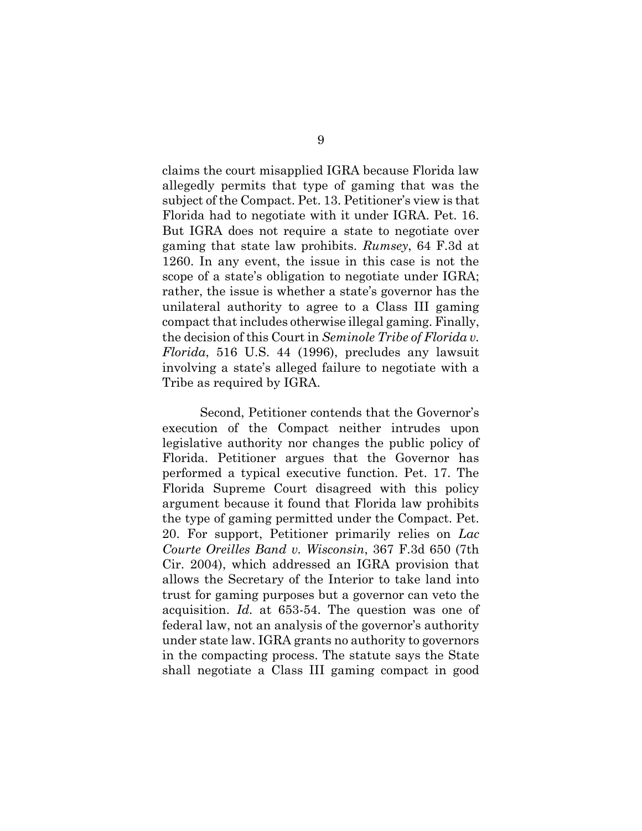claims the court misapplied IGRA because Florida law allegedly permits that type of gaming that was the subject of the Compact. Pet. 13. Petitioner's view is that Florida had to negotiate with it under IGRA. Pet. 16. But IGRA does not require a state to negotiate over gaming that state law prohibits. *Rumsey*, 64 F.3d at 1260. In any event, the issue in this case is not the scope of a state's obligation to negotiate under IGRA; rather, the issue is whether a state's governor has the unilateral authority to agree to a Class III gaming compact that includes otherwise illegal gaming. Finally, the decision of this Court in *Seminole Tribe of Florida v. Florida*, 516 U.S. 44 (1996), precludes any lawsuit involving a state's alleged failure to negotiate with a Tribe as required by IGRA.

Second, Petitioner contends that the Governor's execution of the Compact neither intrudes upon legislative authority nor changes the public policy of Florida. Petitioner argues that the Governor has performed a typical executive function. Pet. 17. The Florida Supreme Court disagreed with this policy argument because it found that Florida law prohibits the type of gaming permitted under the Compact. Pet. 20. For support, Petitioner primarily relies on *Lac Courte Oreilles Band v. Wisconsin*, 367 F.3d 650 (7th Cir. 2004), which addressed an IGRA provision that allows the Secretary of the Interior to take land into trust for gaming purposes but a governor can veto the acquisition. *Id.* at 653-54. The question was one of federal law, not an analysis of the governor's authority under state law. IGRA grants no authority to governors in the compacting process. The statute says the State shall negotiate a Class III gaming compact in good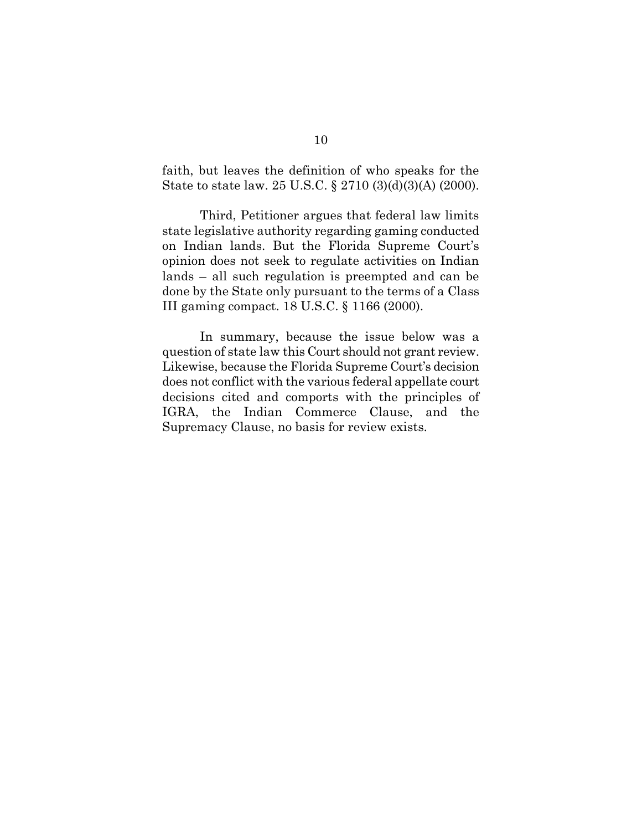faith, but leaves the definition of who speaks for the State to state law. 25 U.S.C. § 2710 (3)(d)(3)(A) (2000).

Third, Petitioner argues that federal law limits state legislative authority regarding gaming conducted on Indian lands. But the Florida Supreme Court's opinion does not seek to regulate activities on Indian lands – all such regulation is preempted and can be done by the State only pursuant to the terms of a Class III gaming compact. 18 U.S.C. § 1166 (2000).

In summary, because the issue below was a question of state law this Court should not grant review. Likewise, because the Florida Supreme Court's decision does not conflict with the various federal appellate court decisions cited and comports with the principles of IGRA, the Indian Commerce Clause, and the Supremacy Clause, no basis for review exists.